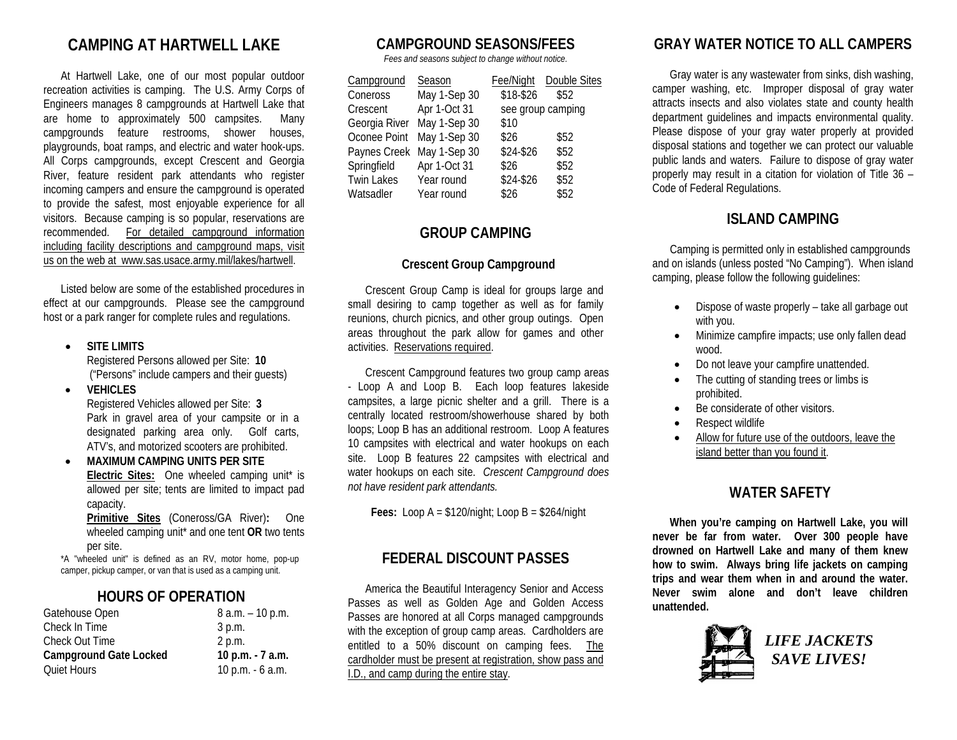# **CAMPING AT HARTWELL LAKE**

At Hartwell Lake, one of our most popular outdoor recreation activities is camping. The U.S. Army Corps of Engineers manages 8 campgrounds at Hartwell Lake that are home to approximately 500 campsites. Many campgrounds feature restrooms, shower houses, playgrounds, boat ramps, and electric and water hook-ups. All Corps campgrounds, except Crescent and Georgia River, feature resident park attendants who register incoming campers and ensure the campground is operated to provide the safest, most enjoyable experience for all visitors. Because camping is so popular, reservations are recommended. For detailed campground information including facility descriptions and campground maps, visit us on the web at www.sas.usace.army.mil/lakes/hartwell.

Listed below are some of the established procedures in effect at our campgrounds. Please see the campground host or a park ranger for complete rules and regulations.

#### • **SITE LIMITS**

Registered Persons allowed per Site: **10** ("Persons" include campers and their guests)

• **VEHICLES**

Registered Vehicles allowed per Site: **3** Park in gravel area of your campsite or in a designated parking area only. Golf carts, ATV's, and motorized scooters are prohibited.

• **MAXIMUM CAMPING UNITS PER SITE Electric Sites:** One wheeled camping unit\* is allowed per site; tents are limited to impact pad capacity.

**Primitive Sites** (Coneross/GA River)**:** One wheeled camping unit\* and one tent **OR** two tents per site.

\*A "wheeled unit" is defined as an RV, motor home, pop-up camper, pickup camper, or van that is used as a camping unit.

# **HOURS OF OPERATION**

| 8 a.m. - 10 p.m. |
|------------------|
| 3 p.m.           |
| 2 p.m.           |
| 10 p.m. - 7 a.m. |
| 10 p.m. - 6 a.m. |
|                  |

#### **CAMPGROUND SEASONS/FEES**

*Fees and seasons subject to change without notice.*

| Campground        | Season                     | Fee/Night         | Double Sites |
|-------------------|----------------------------|-------------------|--------------|
| Coneross          | May 1-Sep 30               | \$18-\$26         | \$52         |
| Crescent          | Apr 1-Oct 31               | see group camping |              |
|                   | Georgia River May 1-Sep 30 | \$10              |              |
| Oconee Point      | May 1-Sep 30               | \$26              | \$52         |
| Paynes Creek      | May 1-Sep 30               | \$24-\$26         | \$52         |
| Springfield       | Apr 1-Oct 31               | \$26              | \$52         |
| <b>Twin Lakes</b> | Year round                 | \$24-\$26         | \$52         |
| Watsadler         | Year round                 | \$26              | \$52         |

### **GROUP CAMPING**

#### **Crescent Group Campground**

Crescent Group Camp is ideal for groups large and small desiring to camp together as well as for family reunions, church picnics, and other group outings. Open areas throughout the park allow for games and other activities. Reservations required.

Crescent Campground features two group camp areas - Loop A and Loop B. Each loop features lakeside campsites, a large picnic shelter and a grill. There is a centrally located restroom/showerhouse shared by both loops; Loop B has an additional restroom. Loop A features 10 campsites with electrical and water hookups on each site. Loop B features 22 campsites with electrical and water hookups on each site. *Crescent Campground does not have resident park attendants.*

**Fees:** Loop A = \$120/night; Loop B = \$264/night

## **FEDERAL DISCOUNT PASSES**

America the Beautiful Interagency Senior and Access Passes as well as Golden Age and Golden Access Passes are honored at all Corps managed campgrounds with the exception of group camp areas. Cardholders are entitled to a 50% discount on camping fees. The cardholder must be present at registration, show pass and I.D., and camp during the entire stay.

# **GRAY WATER NOTICE TO ALL CAMPERS**

Gray water is any wastewater from sinks, dish washing, camper washing, etc. Improper disposal of gray water attracts insects and also violates state and county health department guidelines and impacts environmental quality. Please dispose of your gray water properly at provided disposal stations and together we can protect our valuable public lands and waters. Failure to dispose of gray water properly may result in a citation for violation of Title 36 – Code of Federal Regulations.

# **ISLAND CAMPING**

Camping is permitted only in established campgrounds and on islands (unless posted "No Camping"). When island camping, please follow the following guidelines:

- Dispose of waste properly take all garbage out with you.
- Minimize campfire impacts; use only fallen dead wood.
- Do not leave your campfire unattended.
- The cutting of standing trees or limbs is prohibited.
- Be considerate of other visitors.
- Respect wildlife
- Allow for future use of the outdoors, leave the island better than you found it.

### **WATER SAFETY**

**When you're camping on Hartwell Lake, you will never be far from water. Over 300 people have drowned on Hartwell Lake and many of them knew how to swim. Always bring life jackets on camping trips and wear them when in and around the water. Never swim alone and don't leave children unattended.**